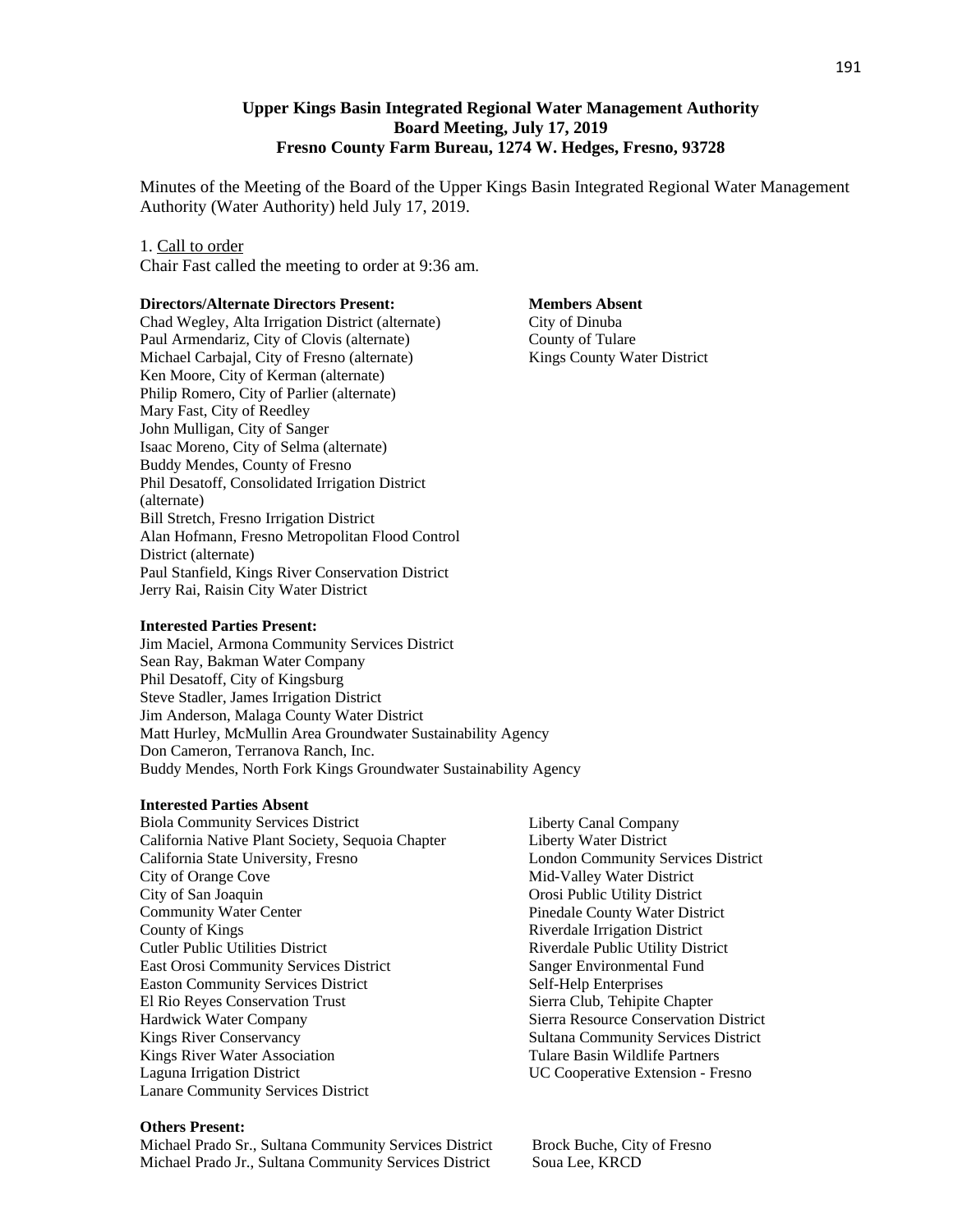## **Upper Kings Basin Integrated Regional Water Management Authority Board Meeting, July 17, 2019 Fresno County Farm Bureau, 1274 W. Hedges, Fresno, 93728**

Minutes of the Meeting of the Board of the Upper Kings Basin Integrated Regional Water Management Authority (Water Authority) held July 17, 2019.

#### 1. Call to order

Chair Fast called the meeting to order at 9:36 am.

#### **Directors/Alternate Directors Present:**

Chad Wegley, Alta Irrigation District (alternate) Paul Armendariz, City of Clovis (alternate) Michael Carbajal, City of Fresno (alternate) Ken Moore, City of Kerman (alternate) Philip Romero, City of Parlier (alternate) Mary Fast, City of Reedley John Mulligan, City of Sanger Isaac Moreno, City of Selma (alternate) Buddy Mendes, County of Fresno Phil Desatoff, Consolidated Irrigation District (alternate) Bill Stretch, Fresno Irrigation District Alan Hofmann, Fresno Metropolitan Flood Control District (alternate) Paul Stanfield, Kings River Conservation District Jerry Rai, Raisin City Water District

#### **Interested Parties Present:**

Jim Maciel, Armona Community Services District Sean Ray, Bakman Water Company Phil Desatoff, City of Kingsburg Steve Stadler, James Irrigation District Jim Anderson, Malaga County Water District Matt Hurley, McMullin Area Groundwater Sustainability Agency Don Cameron, Terranova Ranch, Inc. Buddy Mendes, North Fork Kings Groundwater Sustainability Agency

#### **Interested Parties Absent**

Biola Community Services District California Native Plant Society, Sequoia Chapter California State University, Fresno City of Orange Cove City of San Joaquin Community Water Center County of Kings Cutler Public Utilities District East Orosi Community Services District Easton Community Services District El Rio Reyes Conservation Trust Hardwick Water Company Kings River Conservancy Kings River Water Association Laguna Irrigation District Lanare Community Services District

#### **Others Present:**

Michael Prado Sr., Sultana Community Services District Brock Buche, City of Fresno Michael Prado Jr., Sultana Community Services District Soua Lee, KRCD

Liberty Canal Company Liberty Water District London Community Services District Mid-Valley Water District Orosi Public Utility District Pinedale County Water District Riverdale Irrigation District Riverdale Public Utility District Sanger Environmental Fund Self-Help Enterprises Sierra Club, Tehipite Chapter Sierra Resource Conservation District Sultana Community Services District Tulare Basin Wildlife Partners UC Cooperative Extension - Fresno

#### **Members Absent** City of Dinuba County of Tulare Kings County Water District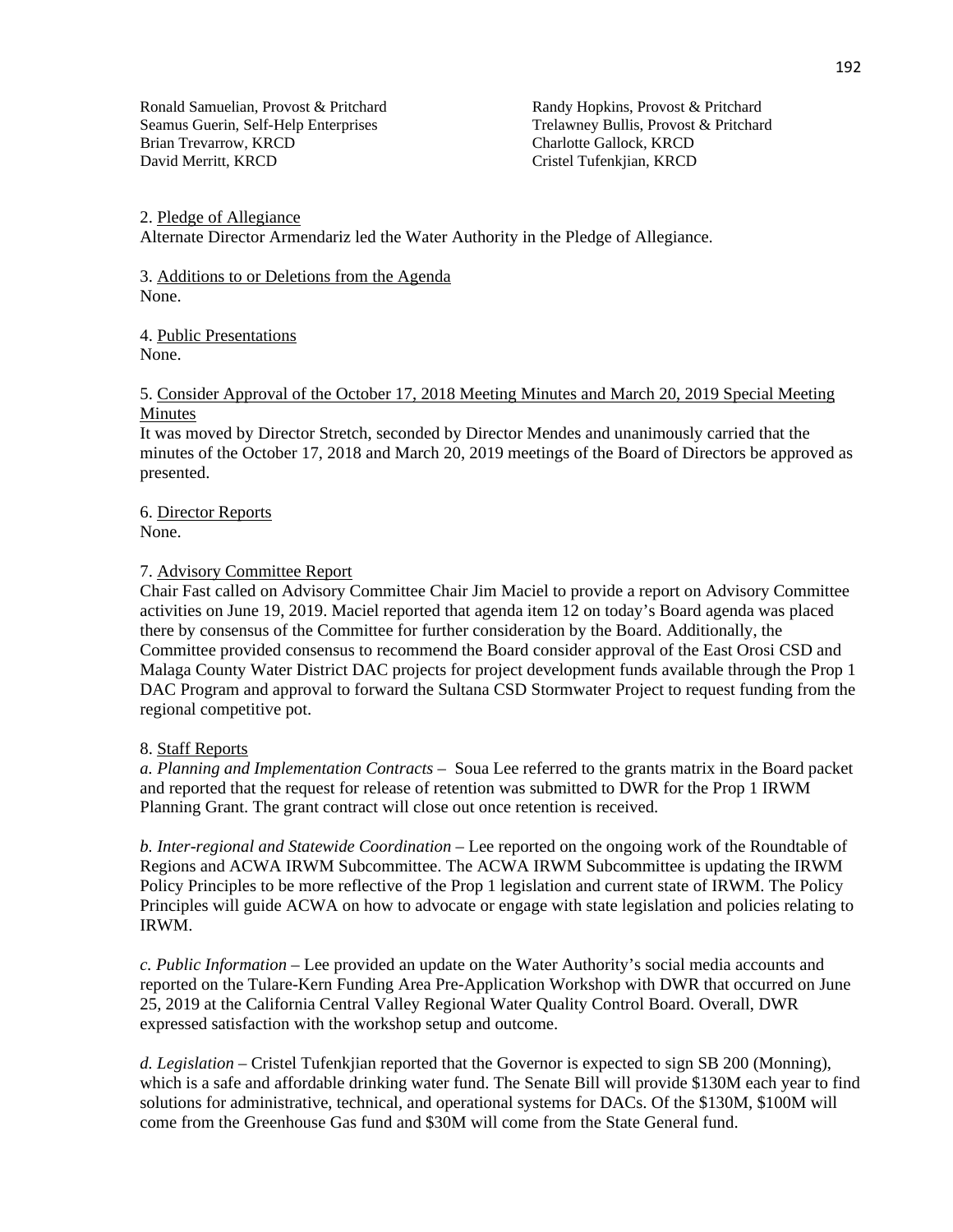Ronald Samuelian, Provost & Pritchard Randy Hopkins, Provost & Pritchard Seamus Guerin, Self-Help Enterprises Trelawney Bullis, Provost & Pritchard Brian Trevarrow, KRCD Charlotte Gallock, KRCD

Cristel Tufenkjian, KRCD

2. Pledge of Allegiance Alternate Director Armendariz led the Water Authority in the Pledge of Allegiance.

3. Additions to or Deletions from the Agenda None.

4. Public Presentations None.

5. Consider Approval of the October 17, 2018 Meeting Minutes and March 20, 2019 Special Meeting Minutes

It was moved by Director Stretch, seconded by Director Mendes and unanimously carried that the minutes of the October 17, 2018 and March 20, 2019 meetings of the Board of Directors be approved as presented.

6. Director Reports None.

### 7. Advisory Committee Report

Chair Fast called on Advisory Committee Chair Jim Maciel to provide a report on Advisory Committee activities on June 19, 2019. Maciel reported that agenda item 12 on today's Board agenda was placed there by consensus of the Committee for further consideration by the Board. Additionally, the Committee provided consensus to recommend the Board consider approval of the East Orosi CSD and Malaga County Water District DAC projects for project development funds available through the Prop 1 DAC Program and approval to forward the Sultana CSD Stormwater Project to request funding from the regional competitive pot.

### 8. Staff Reports

*a. Planning and Implementation Contracts* – Soua Lee referred to the grants matrix in the Board packet and reported that the request for release of retention was submitted to DWR for the Prop 1 IRWM Planning Grant. The grant contract will close out once retention is received.

*b. Inter-regional and Statewide Coordination* – Lee reported on the ongoing work of the Roundtable of Regions and ACWA IRWM Subcommittee. The ACWA IRWM Subcommittee is updating the IRWM Policy Principles to be more reflective of the Prop 1 legislation and current state of IRWM. The Policy Principles will guide ACWA on how to advocate or engage with state legislation and policies relating to IRWM.

*c. Public Information* – Lee provided an update on the Water Authority's social media accounts and reported on the Tulare-Kern Funding Area Pre-Application Workshop with DWR that occurred on June 25, 2019 at the California Central Valley Regional Water Quality Control Board. Overall, DWR expressed satisfaction with the workshop setup and outcome.

*d. Legislation* – Cristel Tufenkjian reported that the Governor is expected to sign SB 200 (Monning), which is a safe and affordable drinking water fund. The Senate Bill will provide \$130M each year to find solutions for administrative, technical, and operational systems for DACs. Of the \$130M, \$100M will come from the Greenhouse Gas fund and \$30M will come from the State General fund.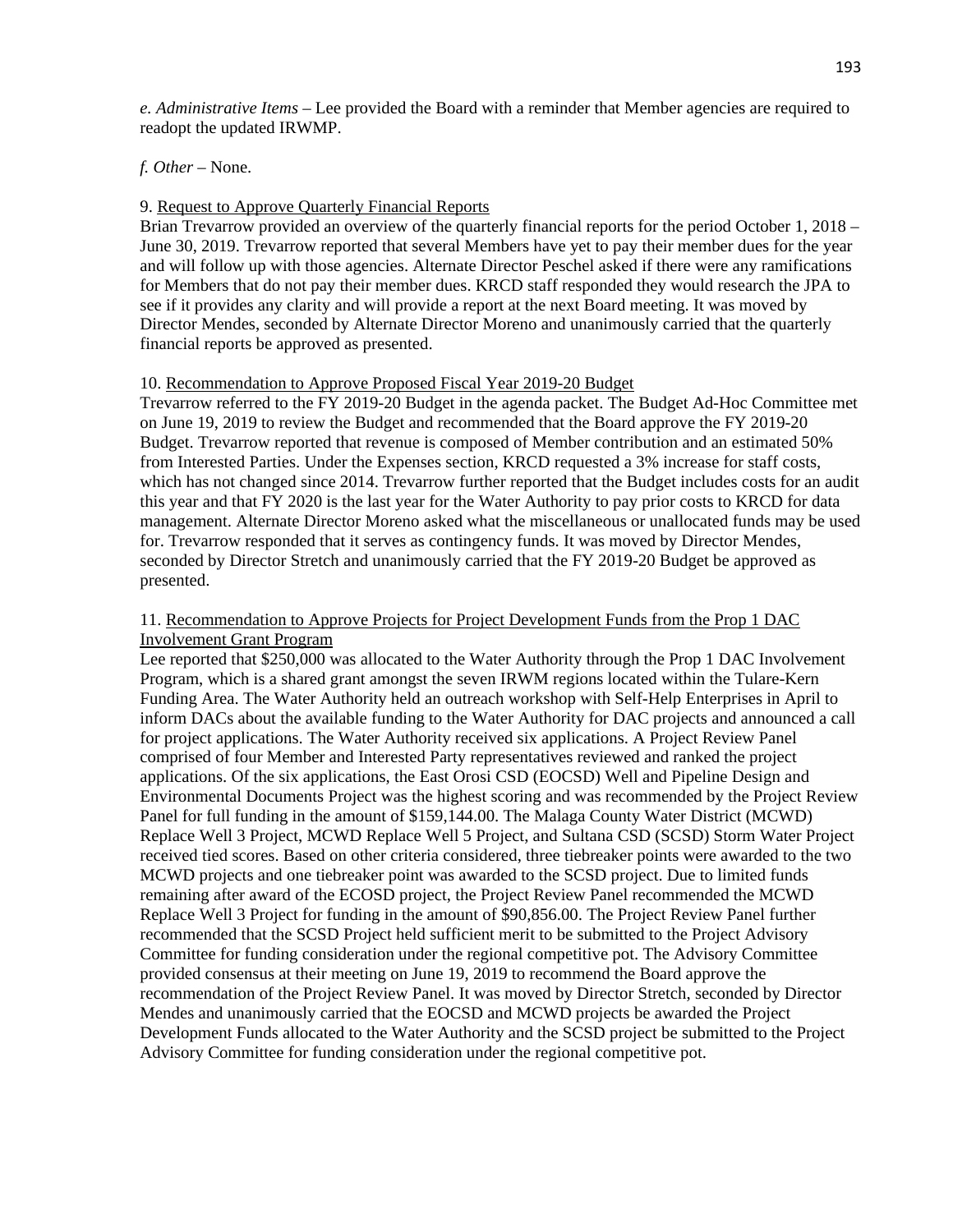*e. Administrative Items* – Lee provided the Board with a reminder that Member agencies are required to readopt the updated IRWMP.

## *f. Other* – None.

## 9. Request to Approve Quarterly Financial Reports

Brian Trevarrow provided an overview of the quarterly financial reports for the period October 1, 2018 – June 30, 2019. Trevarrow reported that several Members have yet to pay their member dues for the year and will follow up with those agencies. Alternate Director Peschel asked if there were any ramifications for Members that do not pay their member dues. KRCD staff responded they would research the JPA to see if it provides any clarity and will provide a report at the next Board meeting. It was moved by Director Mendes, seconded by Alternate Director Moreno and unanimously carried that the quarterly financial reports be approved as presented.

# 10. Recommendation to Approve Proposed Fiscal Year 2019-20 Budget

Trevarrow referred to the FY 2019-20 Budget in the agenda packet. The Budget Ad-Hoc Committee met on June 19, 2019 to review the Budget and recommended that the Board approve the FY 2019-20 Budget. Trevarrow reported that revenue is composed of Member contribution and an estimated 50% from Interested Parties. Under the Expenses section, KRCD requested a 3% increase for staff costs, which has not changed since 2014. Trevarrow further reported that the Budget includes costs for an audit this year and that FY 2020 is the last year for the Water Authority to pay prior costs to KRCD for data management. Alternate Director Moreno asked what the miscellaneous or unallocated funds may be used for. Trevarrow responded that it serves as contingency funds. It was moved by Director Mendes, seconded by Director Stretch and unanimously carried that the FY 2019-20 Budget be approved as presented.

# 11. Recommendation to Approve Projects for Project Development Funds from the Prop 1 DAC Involvement Grant Program

Lee reported that \$250,000 was allocated to the Water Authority through the Prop 1 DAC Involvement Program, which is a shared grant amongst the seven IRWM regions located within the Tulare-Kern Funding Area. The Water Authority held an outreach workshop with Self-Help Enterprises in April to inform DACs about the available funding to the Water Authority for DAC projects and announced a call for project applications. The Water Authority received six applications. A Project Review Panel comprised of four Member and Interested Party representatives reviewed and ranked the project applications. Of the six applications, the East Orosi CSD (EOCSD) Well and Pipeline Design and Environmental Documents Project was the highest scoring and was recommended by the Project Review Panel for full funding in the amount of \$159,144.00. The Malaga County Water District (MCWD) Replace Well 3 Project, MCWD Replace Well 5 Project, and Sultana CSD (SCSD) Storm Water Project received tied scores. Based on other criteria considered, three tiebreaker points were awarded to the two MCWD projects and one tiebreaker point was awarded to the SCSD project. Due to limited funds remaining after award of the ECOSD project, the Project Review Panel recommended the MCWD Replace Well 3 Project for funding in the amount of \$90,856.00. The Project Review Panel further recommended that the SCSD Project held sufficient merit to be submitted to the Project Advisory Committee for funding consideration under the regional competitive pot. The Advisory Committee provided consensus at their meeting on June 19, 2019 to recommend the Board approve the recommendation of the Project Review Panel. It was moved by Director Stretch, seconded by Director Mendes and unanimously carried that the EOCSD and MCWD projects be awarded the Project Development Funds allocated to the Water Authority and the SCSD project be submitted to the Project Advisory Committee for funding consideration under the regional competitive pot.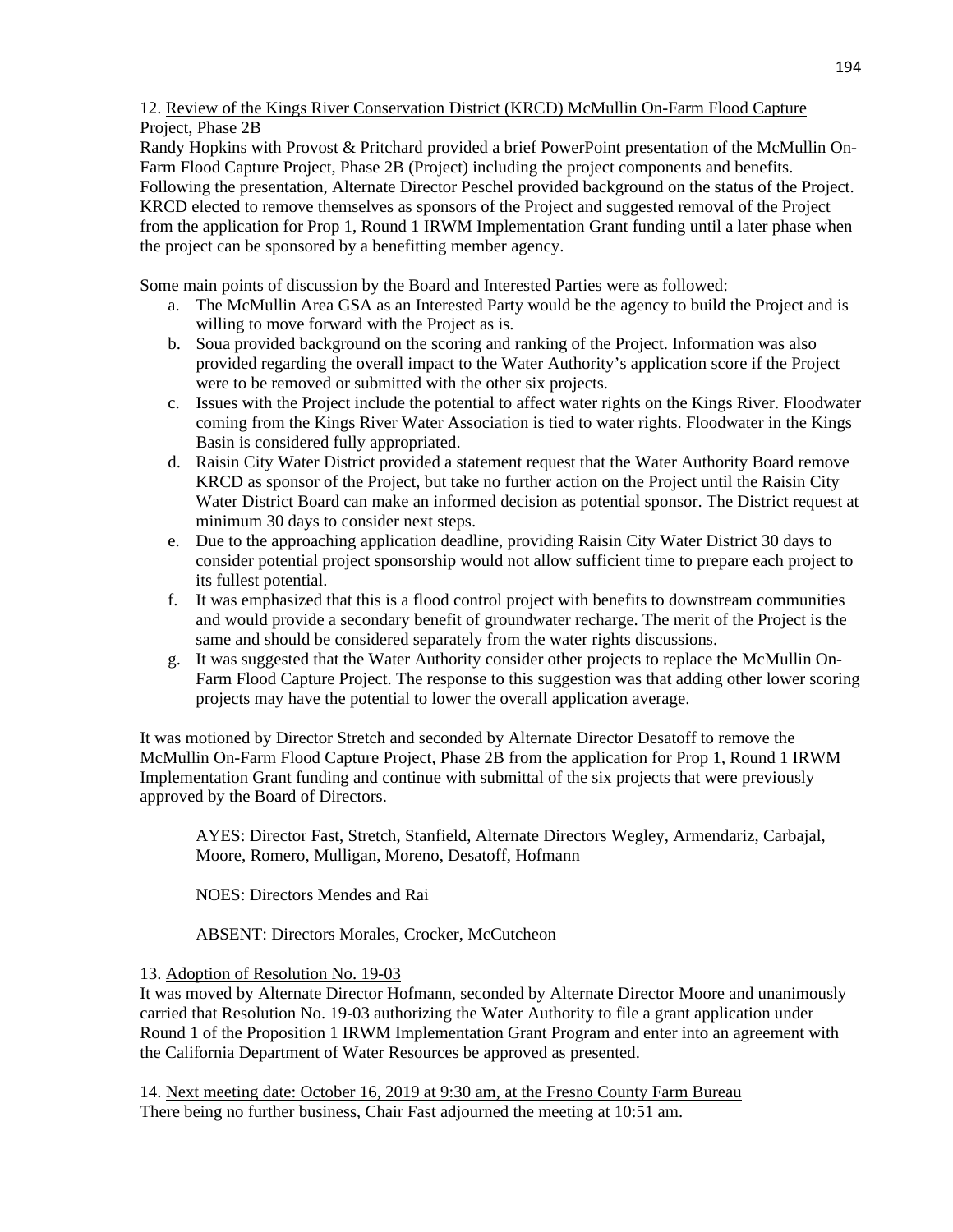# 12. Review of the Kings River Conservation District (KRCD) McMullin On-Farm Flood Capture Project, Phase 2B

Randy Hopkins with Provost & Pritchard provided a brief PowerPoint presentation of the McMullin On-Farm Flood Capture Project, Phase 2B (Project) including the project components and benefits. Following the presentation, Alternate Director Peschel provided background on the status of the Project. KRCD elected to remove themselves as sponsors of the Project and suggested removal of the Project from the application for Prop 1, Round 1 IRWM Implementation Grant funding until a later phase when the project can be sponsored by a benefitting member agency.

Some main points of discussion by the Board and Interested Parties were as followed:

- a. The McMullin Area GSA as an Interested Party would be the agency to build the Project and is willing to move forward with the Project as is.
- b. Soua provided background on the scoring and ranking of the Project. Information was also provided regarding the overall impact to the Water Authority's application score if the Project were to be removed or submitted with the other six projects.
- c. Issues with the Project include the potential to affect water rights on the Kings River. Floodwater coming from the Kings River Water Association is tied to water rights. Floodwater in the Kings Basin is considered fully appropriated.
- d. Raisin City Water District provided a statement request that the Water Authority Board remove KRCD as sponsor of the Project, but take no further action on the Project until the Raisin City Water District Board can make an informed decision as potential sponsor. The District request at minimum 30 days to consider next steps.
- e. Due to the approaching application deadline, providing Raisin City Water District 30 days to consider potential project sponsorship would not allow sufficient time to prepare each project to its fullest potential.
- f. It was emphasized that this is a flood control project with benefits to downstream communities and would provide a secondary benefit of groundwater recharge. The merit of the Project is the same and should be considered separately from the water rights discussions.
- g. It was suggested that the Water Authority consider other projects to replace the McMullin On-Farm Flood Capture Project. The response to this suggestion was that adding other lower scoring projects may have the potential to lower the overall application average.

It was motioned by Director Stretch and seconded by Alternate Director Desatoff to remove the McMullin On-Farm Flood Capture Project, Phase 2B from the application for Prop 1, Round 1 IRWM Implementation Grant funding and continue with submittal of the six projects that were previously approved by the Board of Directors.

AYES: Director Fast, Stretch, Stanfield, Alternate Directors Wegley, Armendariz, Carbajal, Moore, Romero, Mulligan, Moreno, Desatoff, Hofmann

NOES: Directors Mendes and Rai

ABSENT: Directors Morales, Crocker, McCutcheon

# 13. Adoption of Resolution No. 19-03

It was moved by Alternate Director Hofmann, seconded by Alternate Director Moore and unanimously carried that Resolution No. 19-03 authorizing the Water Authority to file a grant application under Round 1 of the Proposition 1 IRWM Implementation Grant Program and enter into an agreement with the California Department of Water Resources be approved as presented.

14. Next meeting date: October 16, 2019 at 9:30 am, at the Fresno County Farm Bureau There being no further business, Chair Fast adjourned the meeting at 10:51 am.